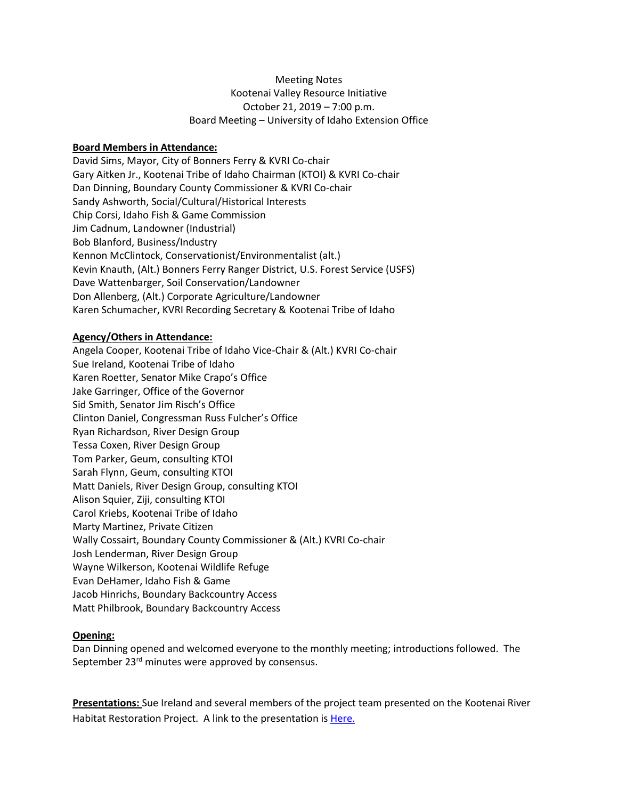# Meeting Notes Kootenai Valley Resource Initiative October 21, 2019 – 7:00 p.m. Board Meeting – University of Idaho Extension Office

# **Board Members in Attendance:**

David Sims, Mayor, City of Bonners Ferry & KVRI Co-chair Gary Aitken Jr., Kootenai Tribe of Idaho Chairman (KTOI) & KVRI Co-chair Dan Dinning, Boundary County Commissioner & KVRI Co-chair Sandy Ashworth, Social/Cultural/Historical Interests Chip Corsi, Idaho Fish & Game Commission Jim Cadnum, Landowner (Industrial) Bob Blanford, Business/Industry Kennon McClintock, Conservationist/Environmentalist (alt.) Kevin Knauth, (Alt.) Bonners Ferry Ranger District, U.S. Forest Service (USFS) Dave Wattenbarger, Soil Conservation/Landowner Don Allenberg, (Alt.) Corporate Agriculture/Landowner Karen Schumacher, KVRI Recording Secretary & Kootenai Tribe of Idaho

### **Agency/Others in Attendance:**

Angela Cooper, Kootenai Tribe of Idaho Vice-Chair & (Alt.) KVRI Co-chair Sue Ireland, Kootenai Tribe of Idaho Karen Roetter, Senator Mike Crapo's Office Jake Garringer, Office of the Governor Sid Smith, Senator Jim Risch's Office Clinton Daniel, Congressman Russ Fulcher's Office Ryan Richardson, River Design Group Tessa Coxen, River Design Group Tom Parker, Geum, consulting KTOI Sarah Flynn, Geum, consulting KTOI Matt Daniels, River Design Group, consulting KTOI Alison Squier, Ziji, consulting KTOI Carol Kriebs, Kootenai Tribe of Idaho Marty Martinez, Private Citizen Wally Cossairt, Boundary County Commissioner & (Alt.) KVRI Co-chair Josh Lenderman, River Design Group Wayne Wilkerson, Kootenai Wildlife Refuge Evan DeHamer, Idaho Fish & Game Jacob Hinrichs, Boundary Backcountry Access Matt Philbrook, Boundary Backcountry Access

#### **Opening:**

Dan Dinning opened and welcomed everyone to the monthly meeting; introductions followed. The September 23<sup>rd</sup> minutes were approved by consensus.

**Presentations:** Sue Ireland and several members of the project team presented on the Kootenai River Habitat Restoration Project. A link to the presentation is [Here.](http://www.kootenai.org/documents/KRHRPCompletePresentation10.21.2019_003.pdf)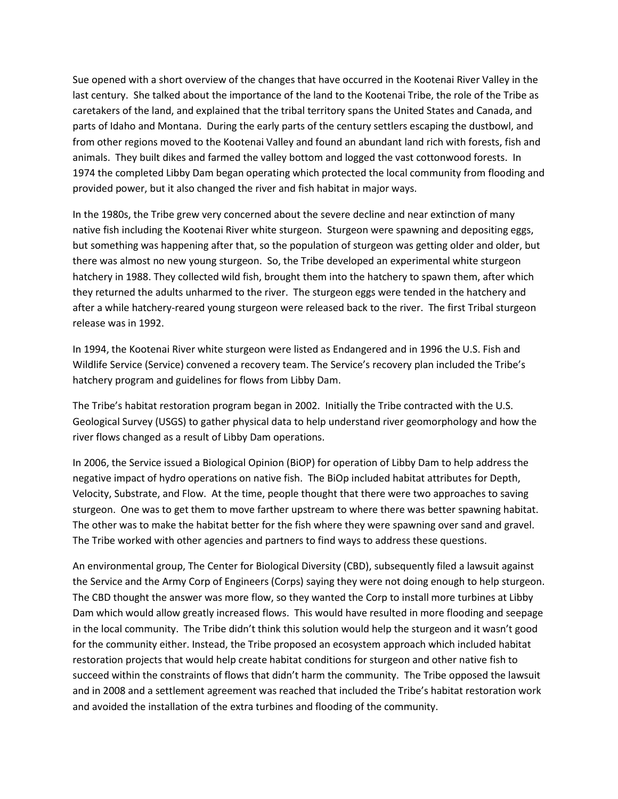Sue opened with a short overview of the changes that have occurred in the Kootenai River Valley in the last century. She talked about the importance of the land to the Kootenai Tribe, the role of the Tribe as caretakers of the land, and explained that the tribal territory spans the United States and Canada, and parts of Idaho and Montana. During the early parts of the century settlers escaping the dustbowl, and from other regions moved to the Kootenai Valley and found an abundant land rich with forests, fish and animals. They built dikes and farmed the valley bottom and logged the vast cottonwood forests. In 1974 the completed Libby Dam began operating which protected the local community from flooding and provided power, but it also changed the river and fish habitat in major ways.

In the 1980s, the Tribe grew very concerned about the severe decline and near extinction of many native fish including the Kootenai River white sturgeon. Sturgeon were spawning and depositing eggs, but something was happening after that, so the population of sturgeon was getting older and older, but there was almost no new young sturgeon. So, the Tribe developed an experimental white sturgeon hatchery in 1988. They collected wild fish, brought them into the hatchery to spawn them, after which they returned the adults unharmed to the river. The sturgeon eggs were tended in the hatchery and after a while hatchery-reared young sturgeon were released back to the river. The first Tribal sturgeon release was in 1992.

In 1994, the Kootenai River white sturgeon were listed as Endangered and in 1996 the U.S. Fish and Wildlife Service (Service) convened a recovery team. The Service's recovery plan included the Tribe's hatchery program and guidelines for flows from Libby Dam.

The Tribe's habitat restoration program began in 2002. Initially the Tribe contracted with the U.S. Geological Survey (USGS) to gather physical data to help understand river geomorphology and how the river flows changed as a result of Libby Dam operations.

In 2006, the Service issued a Biological Opinion (BiOP) for operation of Libby Dam to help address the negative impact of hydro operations on native fish. The BiOp included habitat attributes for Depth, Velocity, Substrate, and Flow. At the time, people thought that there were two approaches to saving sturgeon. One was to get them to move farther upstream to where there was better spawning habitat. The other was to make the habitat better for the fish where they were spawning over sand and gravel. The Tribe worked with other agencies and partners to find ways to address these questions.

An environmental group, The Center for Biological Diversity (CBD), subsequently filed a lawsuit against the Service and the Army Corp of Engineers (Corps) saying they were not doing enough to help sturgeon. The CBD thought the answer was more flow, so they wanted the Corp to install more turbines at Libby Dam which would allow greatly increased flows. This would have resulted in more flooding and seepage in the local community. The Tribe didn't think this solution would help the sturgeon and it wasn't good for the community either. Instead, the Tribe proposed an ecosystem approach which included habitat restoration projects that would help create habitat conditions for sturgeon and other native fish to succeed within the constraints of flows that didn't harm the community. The Tribe opposed the lawsuit and in 2008 and a settlement agreement was reached that included the Tribe's habitat restoration work and avoided the installation of the extra turbines and flooding of the community.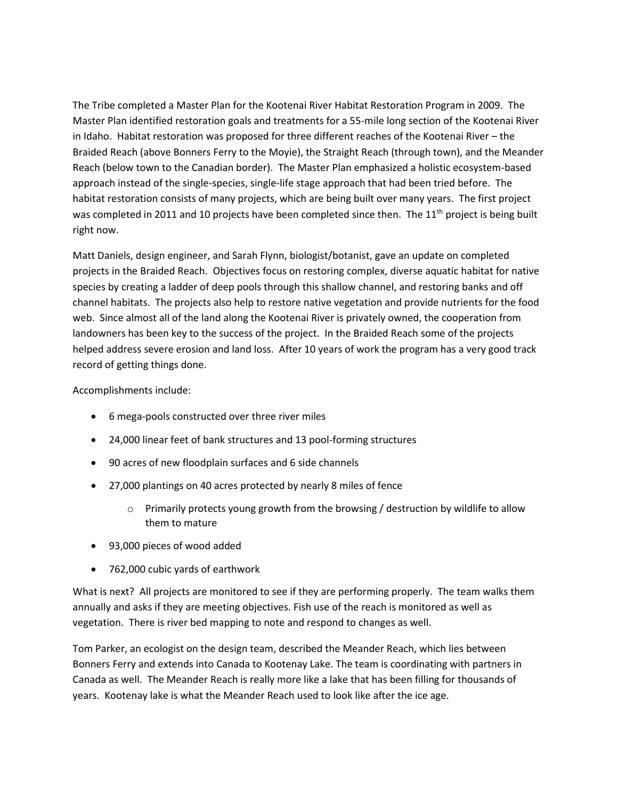The Tribe completed a Master Plan for the Kootenai River Habitat Restoration Program in 2009. The Master Plan identified restoration goals and treatments for a 55-mile long section of the Kootenai River in Idaho. Habitat restoration was proposed for three different reaches of the Kootenai River – the Braided Reach (above Bonners Ferry to the Moyie), the Straight Reach (through town), and the Meander Reach (below town to the Canadian border). The Master Plan emphasized a holistic ecosystem-based approach instead of the single-species, single-life stage approach that had been tried before. The habitat restoration consists of many projects, which are being built over many years. The first project was completed in 2011 and 10 projects have been completed since then. The 11<sup>th</sup> project is being built right now.

Matt Daniels, design engineer, and Sarah Flynn, biologist/botanist, gave an update on completed projects in the Braided Reach. Objectives focus on restoring complex, diverse aquatic habitat for native species by creating a ladder of deep pools through this shallow channel, and restoring banks and off channel habitats. The projects also help to restore native vegetation and provide nutrients for the food web. Since almost all of the land along the Kootenai River is privately owned, the cooperation from landowners has been key to the success of the project. In the Braided Reach some of the projects helped address severe erosion and land loss. After 10 years of work the program has a very good track record of getting things done.

Accomplishments include:

- 6 mega-pools constructed over three river miles
- 24,000 linear feet of bank structures and 13 pool-forming structures
- 90 acres of new floodplain surfaces and 6 side channels
- 27,000 plantings on 40 acres protected by nearly 8 miles of fence
	- $\circ$  Primarily protects young growth from the browsing / destruction by wildlife to allow them to mature
- 93,000 pieces of wood added
- 762,000 cubic yards of earthwork

What is next? All projects are monitored to see if they are performing properly. The team walks them annually and asks if they are meeting objectives. Fish use of the reach is monitored as well as vegetation. There is river bed mapping to note and respond to changes as well.

Tom Parker, an ecologist on the design team, described the Meander Reach, which lies between Bonners Ferry and extends into Canada to Kootenay Lake. The team is coordinating with partners in Canada as well. The Meander Reach is really more like a lake that has been filling for thousands of years. Kootenay lake is what the Meander Reach used to look like after the ice age.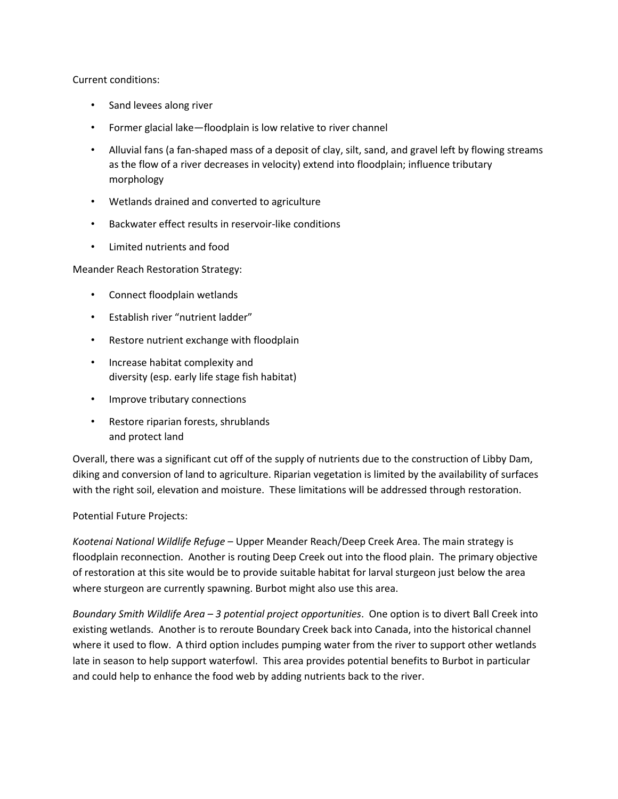# Current conditions:

- Sand levees along river
- Former glacial lake—floodplain is low relative to river channel
- Alluvial fans (a fan-shaped mass of a deposit of clay, silt, sand, and gravel left by flowing streams as the flow of a river decreases in velocity) extend into floodplain; influence tributary morphology
- Wetlands drained and converted to agriculture
- Backwater effect results in reservoir-like conditions
- Limited nutrients and food

Meander Reach Restoration Strategy:

- Connect floodplain wetlands
- Establish river "nutrient ladder"
- Restore nutrient exchange with floodplain
- Increase habitat complexity and diversity (esp. early life stage fish habitat)
- Improve tributary connections
- Restore riparian forests, shrublands and protect land

Overall, there was a significant cut off of the supply of nutrients due to the construction of Libby Dam, diking and conversion of land to agriculture. Riparian vegetation is limited by the availability of surfaces with the right soil, elevation and moisture. These limitations will be addressed through restoration.

# Potential Future Projects:

*Kootenai National Wildlife Refuge* – Upper Meander Reach/Deep Creek Area. The main strategy is floodplain reconnection. Another is routing Deep Creek out into the flood plain. The primary objective of restoration at this site would be to provide suitable habitat for larval sturgeon just below the area where sturgeon are currently spawning. Burbot might also use this area.

*Boundary Smith Wildlife Area – 3 potential project opportunities*. One option is to divert Ball Creek into existing wetlands. Another is to reroute Boundary Creek back into Canada, into the historical channel where it used to flow. A third option includes pumping water from the river to support other wetlands late in season to help support waterfowl. This area provides potential benefits to Burbot in particular and could help to enhance the food web by adding nutrients back to the river.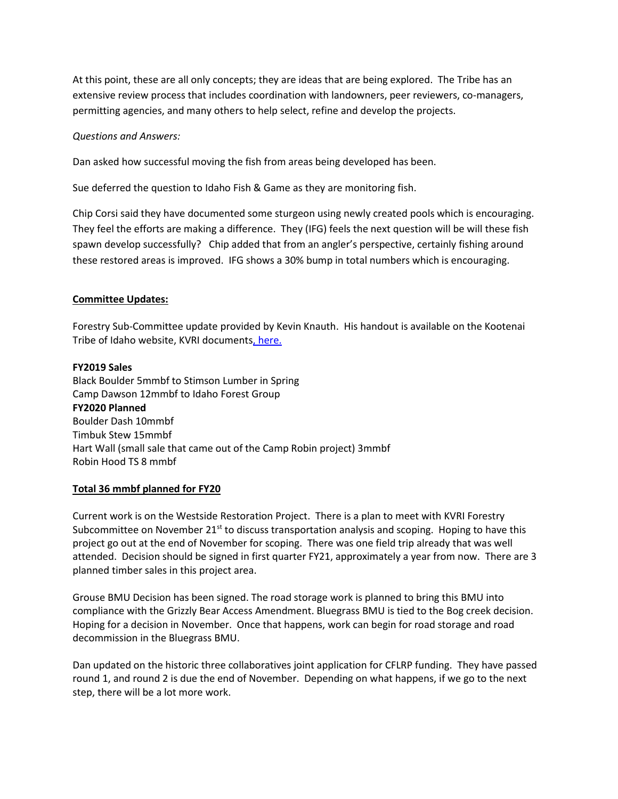At this point, these are all only concepts; they are ideas that are being explored. The Tribe has an extensive review process that includes coordination with landowners, peer reviewers, co-managers, permitting agencies, and many others to help select, refine and develop the projects.

### *Questions and Answers:*

Dan asked how successful moving the fish from areas being developed has been.

Sue deferred the question to Idaho Fish & Game as they are monitoring fish.

Chip Corsi said they have documented some sturgeon using newly created pools which is encouraging. They feel the efforts are making a difference. They (IFG) feels the next question will be will these fish spawn develop successfully? Chip added that from an angler's perspective, certainly fishing around these restored areas is improved. IFG shows a 30% bump in total numbers which is encouraging.

### **Committee Updates:**

Forestry Sub-Committee update provided by Kevin Knauth. His handout is available on the Kootenai Tribe of Idaho website, KVRI document[s, here.](http://www.kootenai.org/documents/CFLRPProjectUpdate_2018_11_13_000.pdf)

#### **FY2019 Sales**

Black Boulder 5mmbf to Stimson Lumber in Spring Camp Dawson 12mmbf to Idaho Forest Group **FY2020 Planned**  Boulder Dash 10mmbf Timbuk Stew 15mmbf Hart Wall (small sale that came out of the Camp Robin project) 3mmbf Robin Hood TS 8 mmbf

# **Total 36 mmbf planned for FY20**

Current work is on the Westside Restoration Project. There is a plan to meet with KVRI Forestry Subcommittee on November  $21<sup>st</sup>$  to discuss transportation analysis and scoping. Hoping to have this project go out at the end of November for scoping. There was one field trip already that was well attended. Decision should be signed in first quarter FY21, approximately a year from now. There are 3 planned timber sales in this project area.

Grouse BMU Decision has been signed. The road storage work is planned to bring this BMU into compliance with the Grizzly Bear Access Amendment. Bluegrass BMU is tied to the Bog creek decision. Hoping for a decision in November. Once that happens, work can begin for road storage and road decommission in the Bluegrass BMU.

Dan updated on the historic three collaboratives joint application for CFLRP funding. They have passed round 1, and round 2 is due the end of November. Depending on what happens, if we go to the next step, there will be a lot more work.